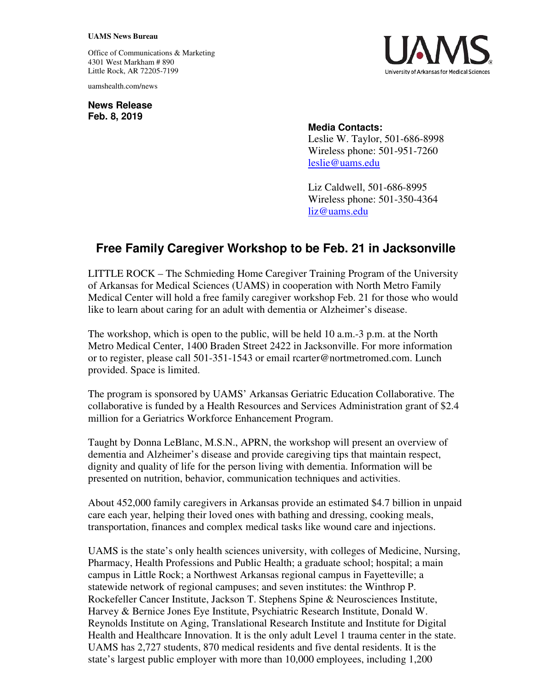## **UAMS News Bureau**

Office of Communications & Marketing 4301 West Markham # 890 Little Rock, AR 72205-7199

uamshealth.com/news

**News Release Feb. 8, 2019**



## **Media Contacts:**

Leslie W. Taylor, 501-686-8998 Wireless phone: 501-951-7260 leslie@uams.edu

Liz Caldwell, 501-686-8995 Wireless phone: 501-350-4364 liz@uams.edu

## **Free Family Caregiver Workshop to be Feb. 21 in Jacksonville**

LITTLE ROCK – The Schmieding Home Caregiver Training Program of the University of Arkansas for Medical Sciences (UAMS) in cooperation with North Metro Family Medical Center will hold a free family caregiver workshop Feb. 21 for those who would like to learn about caring for an adult with dementia or Alzheimer's disease.

The workshop, which is open to the public, will be held 10 a.m.-3 p.m. at the North Metro Medical Center, 1400 Braden Street 2422 in Jacksonville. For more information or to register, please call 501-351-1543 or email rcarter@nortmetromed.com. Lunch provided. Space is limited.

The program is sponsored by UAMS' Arkansas Geriatric Education Collaborative. The collaborative is funded by a Health Resources and Services Administration grant of \$2.4 million for a Geriatrics Workforce Enhancement Program.

Taught by Donna LeBlanc, M.S.N., APRN, the workshop will present an overview of dementia and Alzheimer's disease and provide caregiving tips that maintain respect, dignity and quality of life for the person living with dementia. Information will be presented on nutrition, behavior, communication techniques and activities.

About 452,000 family caregivers in Arkansas provide an estimated \$4.7 billion in unpaid care each year, helping their loved ones with bathing and dressing, cooking meals, transportation, finances and complex medical tasks like wound care and injections.

UAMS is the state's only health sciences university, with colleges of Medicine, Nursing, Pharmacy, Health Professions and Public Health; a graduate school; hospital; a main campus in Little Rock; a Northwest Arkansas regional campus in Fayetteville; a statewide network of regional campuses; and seven institutes: the Winthrop P. Rockefeller Cancer Institute, Jackson T. Stephens Spine & Neurosciences Institute, Harvey & Bernice Jones Eye Institute, Psychiatric Research Institute, Donald W. Reynolds Institute on Aging, Translational Research Institute and Institute for Digital Health and Healthcare Innovation. It is the only adult Level 1 trauma center in the state. UAMS has 2,727 students, 870 medical residents and five dental residents. It is the state's largest public employer with more than 10,000 employees, including 1,200